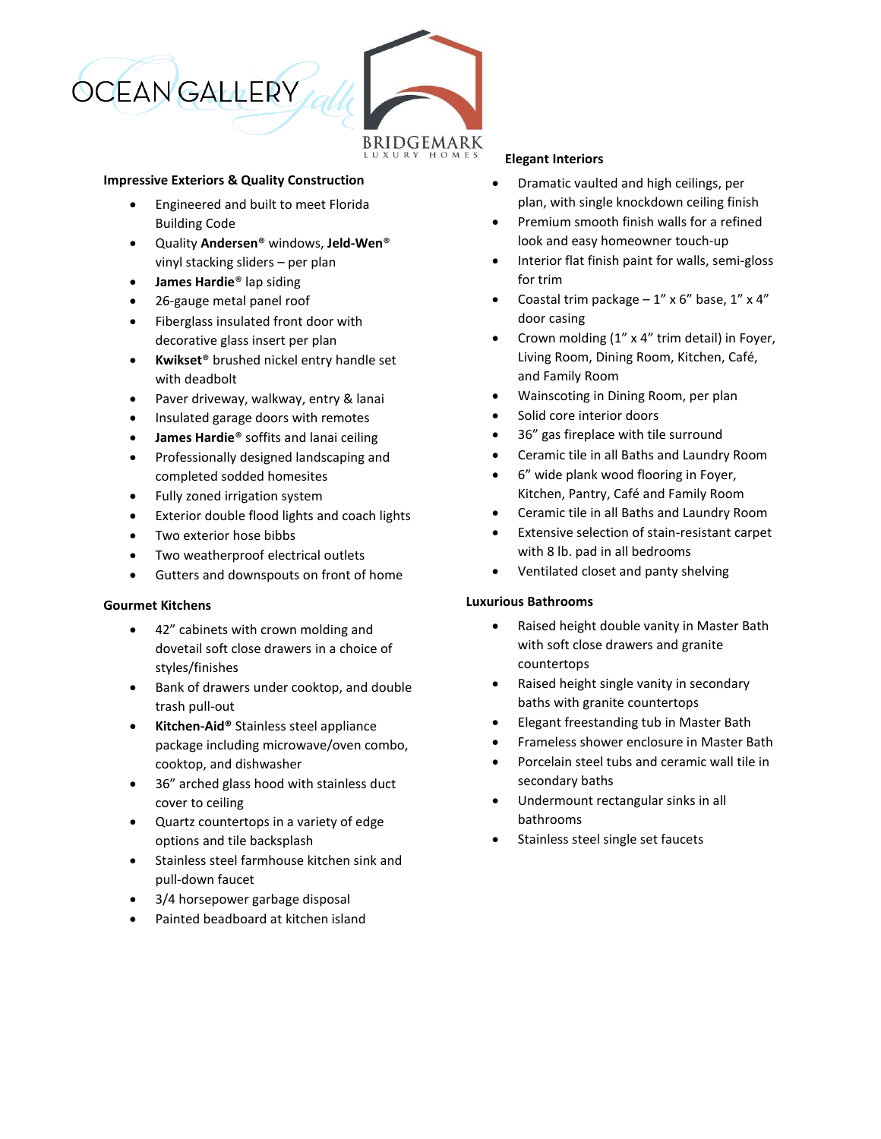

### **Impressive Exteriors & Quality Construction**

- Engineered and built to meet Florida Building Code
- Quality **Andersen**® windows, **Jeld-Wen**® vinyl stacking sliders – per plan
- **James Hardie**® lap siding
- 26-gauge metal panel roof
- Fiberglass insulated front door with decorative glass insert per plan
- **Kwikset**® brushed nickel entry handle set with deadbolt
- Paver driveway, walkway, entry & lanai
- Insulated garage doors with remotes
- **James Hardie**® soffits and lanai ceiling
- Professionally designed landscaping and completed sodded homesites
- Fully zoned irrigation system
- Exterior double flood lights and coach lights
- Two exterior hose bibbs
- Two weatherproof electrical outlets
- Gutters and downspouts on front of home

# **Gourmet Kitchens**

- 42" cabinets with crown molding and dovetail soft close drawers in a choice of styles/finishes
- Bank of drawers under cooktop, and double trash pull-out
- **Kitchen-Aid®** Stainless steel appliance package including microwave/oven combo, cooktop, and dishwasher
- 36" arched glass hood with stainless duct cover to ceiling
- Quartz countertops in a variety of edge options and tile backsplash
- Stainless steel farmhouse kitchen sink and pull-down faucet
- 3/4 horsepower garbage disposal
- Painted beadboard at kitchen island

### **Elegant Interiors**

- Dramatic vaulted and high ceilings, per plan, with single knockdown ceiling finish
- Premium smooth finish walls for a refined look and easy homeowner touch-up
- Interior flat finish paint for walls, semi-gloss for trim
- Coastal trim package  $-1$ " x 6" base, 1" x 4" door casing
- Crown molding (1" x 4" trim detail) in Foyer, Living Room, Dining Room, Kitchen, Café, and Family Room
- Wainscoting in Dining Room, per plan
- Solid core interior doors
- 36" gas fireplace with tile surround
- Ceramic tile in all Baths and Laundry Room
- 6" wide plank wood flooring in Foyer, Kitchen, Pantry, Café and Family Room
- Ceramic tile in all Baths and Laundry Room
- Extensive selection of stain-resistant carpet with 8 lb. pad in all bedrooms
- Ventilated closet and panty shelving

# **Luxurious Bathrooms**

- Raised height double vanity in Master Bath with soft close drawers and granite countertops
- Raised height single vanity in secondary baths with granite countertops
- Elegant freestanding tub in Master Bath
- Frameless shower enclosure in Master Bath
- Porcelain steel tubs and ceramic wall tile in secondary baths
- Undermount rectangular sinks in all bathrooms
- Stainless steel single set faucets